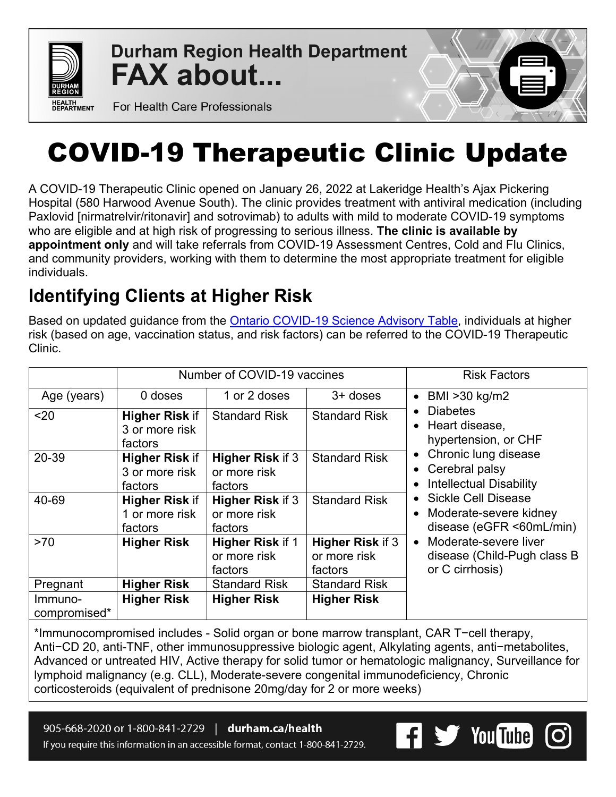

**Durham Region Health Department FAX about...** 

For Health Care Professionals

# COVID-19 Therapeutic Clinic Update

A COVID-19 Therapeutic Clinic opened on January 26, 2022 at Lakeridge Health's Ajax Pickering Hospital (580 Harwood Avenue South). The clinic provides treatment with antiviral medication (including Paxlovid [nirmatrelvir/ritonavir] and sotrovimab) to adults with mild to moderate COVID-19 symptoms who are eligible and at high risk of progressing to serious illness. **The clinic is available by appointment only** and will take referrals from COVID-19 Assessment Centres, Cold and Flu Clinics, and community providers, working with them to determine the most appropriate treatment for eligible individuals.

# **Identifying Clients at Higher Risk**

Based on updated guidance from the **Ontario COVID-19 Science Advisory Table**, individuals at higher risk (based on age, vaccination status, and risk factors) can be referred to the COVID-19 Therapeutic Clinic.

|                         |                                                    | Number of COVID-19 vaccines                        | <b>Risk Factors</b>                                |                                                                                      |
|-------------------------|----------------------------------------------------|----------------------------------------------------|----------------------------------------------------|--------------------------------------------------------------------------------------|
| Age (years)             | 0 doses                                            | 1 or 2 doses                                       | $3+$ doses                                         | BMI >30 kg/m2<br>$\bullet$                                                           |
| $20$                    | <b>Higher Risk if</b><br>3 or more risk<br>factors | <b>Standard Risk</b>                               | <b>Standard Risk</b>                               | <b>Diabetes</b><br>Heart disease,<br>hypertension, or CHF                            |
| 20-39                   | <b>Higher Risk if</b><br>3 or more risk<br>factors | <b>Higher Risk if 3</b><br>or more risk<br>factors | <b>Standard Risk</b>                               | Chronic lung disease<br>• Cerebral palsy<br><b>Intellectual Disability</b>           |
| 40-69                   | <b>Higher Risk if</b><br>1 or more risk<br>factors | <b>Higher Risk if 3</b><br>or more risk<br>factors | <b>Standard Risk</b>                               | <b>Sickle Cell Disease</b><br>Moderate-severe kidney<br>disease (eGFR <60mL/min)     |
| >70                     | <b>Higher Risk</b>                                 | Higher Risk if 1<br>or more risk<br>factors        | <b>Higher Risk if 3</b><br>or more risk<br>factors | Moderate-severe liver<br>$\bullet$<br>disease (Child-Pugh class B<br>or C cirrhosis) |
| Pregnant                | <b>Higher Risk</b>                                 | <b>Standard Risk</b>                               | <b>Standard Risk</b>                               |                                                                                      |
| Immuno-<br>compromised* | <b>Higher Risk</b>                                 | <b>Higher Risk</b>                                 | <b>Higher Risk</b>                                 |                                                                                      |

\*Immunocompromised includes - Solid organ or bone marrow transplant, CAR T−cell therapy, Anti−CD 20, anti-TNF, other immunosuppressive biologic agent, Alkylating agents, anti−metabolites, Advanced or untreated HIV, Active therapy for solid tumor or hematologic malignancy, Surveillance for lymphoid malignancy (e.g. CLL), Moderate-severe congenital immunodeficiency, Chronic corticosteroids (equivalent of prednisone 20mg/day for 2 or more weeks)

905-668-2020 or 1-800-841-2729 | durham.ca/health If you require this information in an accessible format, contact 1-800-841-2729.

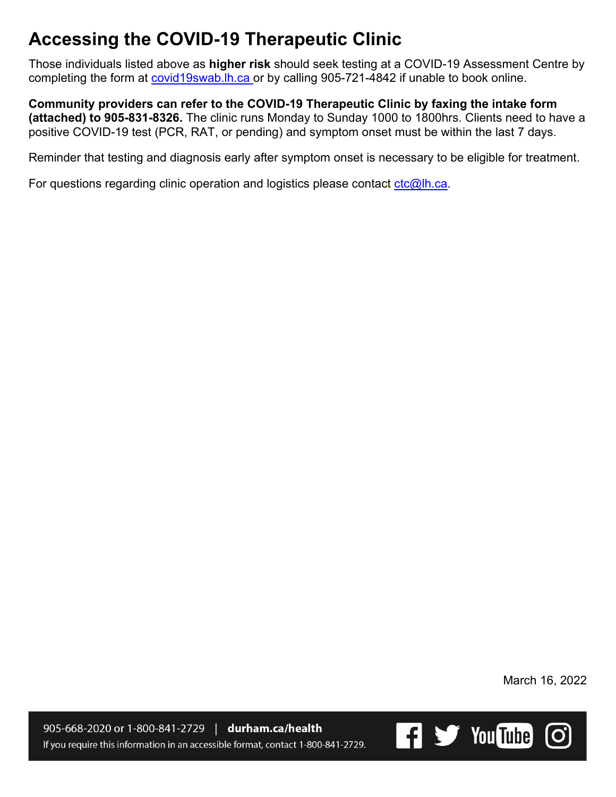# **Accessing the COVID-19 Therapeutic Clinic**

Those individuals listed above as **higher risk** should seek testing at a COVID-19 Assessment Centre by completing the form at [covid19swab.lh.ca](https://covid19swab.lh.ca/) or by calling 905-721-4842 if unable to book online.

**Community providers can refer to the COVID-19 Therapeutic Clinic by faxing the intake form (attached) to 905-831-8326.** The clinic runs Monday to Sunday 1000 to 1800hrs. Clients need to have a positive COVID-19 test (PCR, RAT, or pending) and symptom onset must be within the last 7 days.

Reminder that testing and diagnosis early after symptom onset is necessary to be eligible for treatment.

For questions regarding clinic operation and logistics please contact  $ctc@lh.ca$ .

March 16, 2022

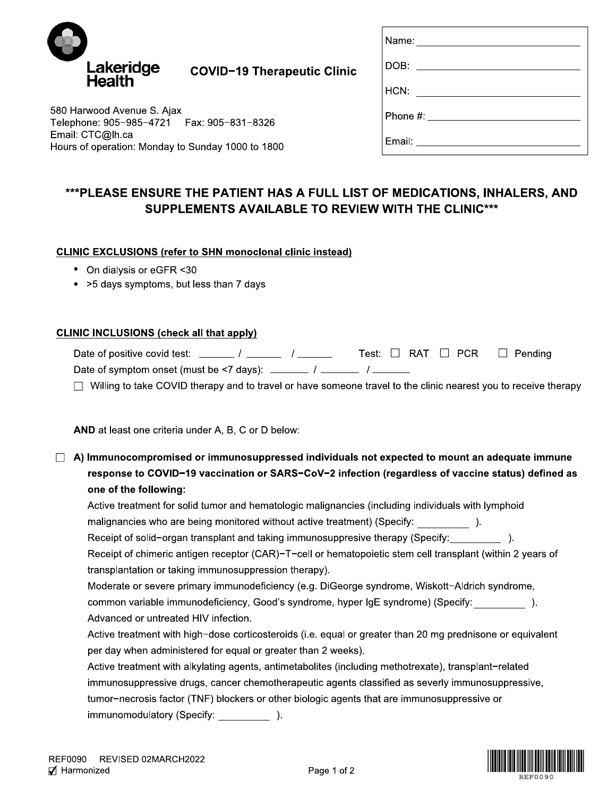

| Name: ____________________      |
|---------------------------------|
| DOB: ____________________       |
| HCN: __________________         |
| Phone #: ______________________ |
|                                 |

580 Harwood Avenue S. Ajax Telephone: 905-985-4721 Fax: 905-831-8326 Email: CTC@lh.ca Hours of operation: Monday to Sunday 1000 to 1800

## \*\*\*PLEASE ENSURE THE PATIENT HAS A FULL LIST OF MEDICATIONS, INHALERS, AND SUPPLEMENTS AVAILABLE TO REVIEW WITH THE CLINIC\*\*\*

### **CLINIC EXCLUSIONS (refer to SHN monoclonal clinic instead)**

- On dialysis or eGFR <30
- > 5 days symptoms, but less than 7 days

#### **CLINIC INCLUSIONS (check all that apply)**

| Date of positive covid test:                | Test: $\Box$ RAT $\Box$ PCR $\Box$ Pending |  |  |
|---------------------------------------------|--------------------------------------------|--|--|
| Date of symptom onset (must be <7 days): __ |                                            |  |  |

 $\Box$  Willing to take COVID therapy and to travel or have someone travel to the clinic nearest you to receive therapy

AND at least one criteria under A, B, C or D below:

 $\Box$  A) Immunocompromised or immunosuppressed individuals not expected to mount an adequate immune response to COVID-19 vaccination or SARS-CoV-2 infection (regardless of vaccine status) defined as one of the following:

Active treatment for solid tumor and hematologic malignancies (including individuals with lymphoid malignancies who are being monitored without active treatment) (Specify:  $\qquad \qquad$  ).

Receipt of solid-organ transplant and taking immunosuppresive therapy (Specify: and the solid-organ transplant

Receipt of chimeric antigen receptor (CAR)-T-cell or hematopoietic stem cell transplant (within 2 years of transplantation or taking immunosuppression therapy).

Moderate or severe primary immunodeficiency (e.g. DiGeorge syndrome, Wiskott-Aldrich syndrome, common variable immunodeficiency, Good's syndrome, hyper IgE syndrome) (Specify:  $\qquad \qquad$  ). Advanced or untreated HIV infection.

Active treatment with high-dose corticosteroids (i.e. equal or greater than 20 mg prednisone or equivalent per day when administered for equal or greater than 2 weeks).

| Active treatment with alkylating agents, antimetabolites (including methotrexate), transplant-related |  |  |  |  |
|-------------------------------------------------------------------------------------------------------|--|--|--|--|
| immunosuppressive drugs, cancer chemotherapeutic agents classified as severly immunosuppressive,      |  |  |  |  |
| tumor-necrosis factor (TNF) blockers or other biologic agents that are immunosuppressive or           |  |  |  |  |
| immunomodulatory (Specify: ______________).                                                           |  |  |  |  |